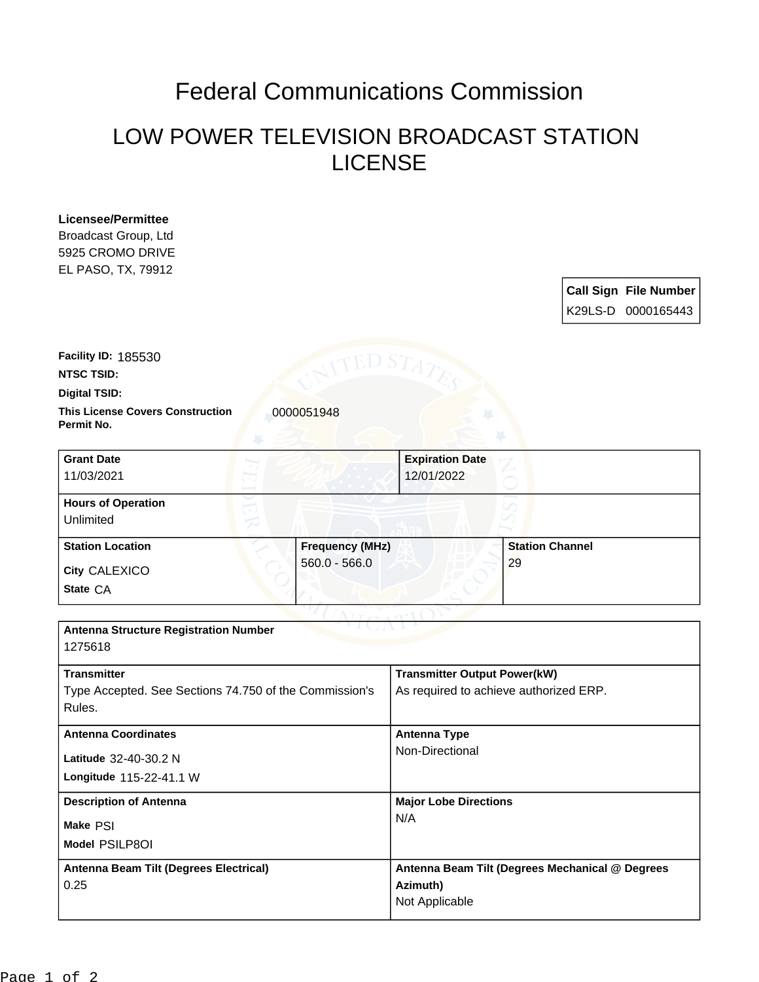## Federal Communications Commission

## LOW POWER TELEVISION BROADCAST STATION LICENSE

| Licensee/Permittee                                     |                                                 |
|--------------------------------------------------------|-------------------------------------------------|
| Broadcast Group, Ltd                                   |                                                 |
| 5925 CROMO DRIVE                                       |                                                 |
| EL PASO, TX, 79912                                     |                                                 |
|                                                        | <b>Call Sign File Number</b>                    |
|                                                        | K29LS-D 0000165443                              |
|                                                        |                                                 |
| Facility ID: 185530                                    |                                                 |
| <b>NTSC TSID:</b>                                      | ED ST                                           |
| Digital TSID:                                          |                                                 |
| <b>This License Covers Construction</b>                |                                                 |
| 0000051948<br>Permit No.                               |                                                 |
|                                                        |                                                 |
| <b>Grant Date</b>                                      | <b>Expiration Date</b>                          |
| 11/03/2021                                             | 12/01/2022                                      |
| <b>Hours of Operation</b>                              |                                                 |
| Unlimited                                              |                                                 |
|                                                        |                                                 |
| <b>Station Location</b><br><b>Frequency (MHz)</b>      | <b>Station Channel</b>                          |
| $560.0 - 566.0$<br>City CALEXICO                       | 29                                              |
| State CA                                               |                                                 |
|                                                        |                                                 |
| <b>Antenna Structure Registration Number</b>           |                                                 |
| 1275618                                                |                                                 |
|                                                        |                                                 |
| <b>Transmitter</b>                                     | <b>Transmitter Output Power(kW)</b>             |
| Type Accepted. See Sections 74.750 of the Commission's | As required to achieve authorized ERP.          |
| Rules.                                                 |                                                 |
| <b>Antenna Coordinates</b>                             | <b>Antenna Type</b>                             |
| Latitude 32-40-30.2 N                                  | Non-Directional                                 |
| Longitude 115-22-41.1 W                                |                                                 |
|                                                        |                                                 |
| <b>Description of Antenna</b>                          | <b>Major Lobe Directions</b>                    |
| Make PSI                                               | N/A                                             |
| Model PSILP8OI                                         |                                                 |
| Antenna Beam Tilt (Degrees Electrical)                 | Antenna Beam Tilt (Degrees Mechanical @ Degrees |
| 0.25                                                   | Azimuth)                                        |
|                                                        | Not Applicable                                  |
|                                                        |                                                 |